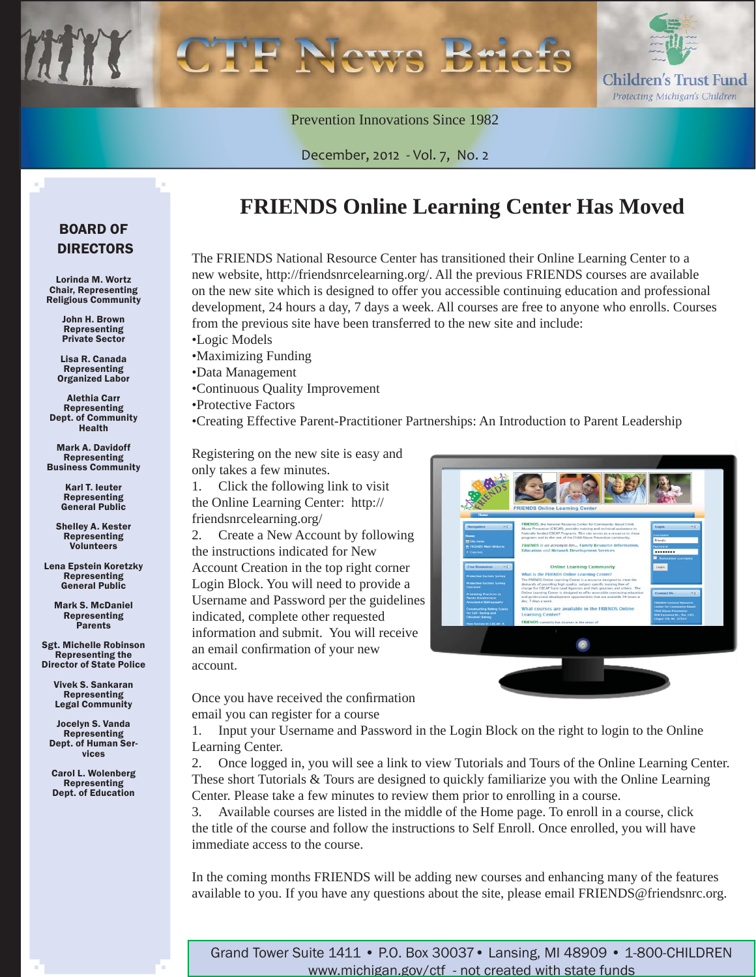

Prevention Innovations Since 1982

December, 2012 - Vol. 7, No. 2

#### BOARD OF DIRECTORS

Lorinda M. Wortz Chair, Representing Religious Community

> John H. Brown Representing Private Sector

Lisa R. Canada Representing Organized Labor

Alethia Carr Representing Dept. of Community Health

Mark A. Davidoff Representing Business Community

> Karl T. Ieuter Representing General Public

Shelley A. Kester Representing Volunteers

Lena Epstein Koretzky Representing General Public

> Mark S. McDaniel Representing **Parents**

Sgt. Michelle Robinson Representing the Director of State Police

> Vivek S. Sankaran Representing Legal Community

Jocelyn S. Vanda Representing Dept. of Human Services

Carol L. Wolenberg Representing Dept. of Education

#### **FRIENDS Online Learning Center Has Moved**

The FRIENDS National Resource Center has transitioned their Online Learning Center to a new website, http://friendsnrcelearning.org/. All the previous FRIENDS courses are available on the new site which is designed to offer you accessible continuing education and professional development, 24 hours a day, 7 days a week. All courses are free to anyone who enrolls. Courses from the previous site have been transferred to the new site and include:

•Logic Models

- •Maximizing Funding
- •Data Management
- •Continuous Quality Improvement

•Protective Factors

•Creating Effective Parent-Practitioner Partnerships: An Introduction to Parent Leadership

Registering on the new site is easy and only takes a few minutes.

1. Click the following link to visit the Online Learning Center: http:// friendsnrcelearning.org/

2. Create a New Account by following the instructions indicated for New Account Creation in the top right corner Login Block. You will need to provide a Username and Password per the guidelines indicated, complete other requested information and submit. You will receive an email confirmation of your new account.

Once you have received the confirmation

email you can register for a course



1. Input your Username and Password in the Login Block on the right to login to the Online Learning Center.

2. Once logged in, you will see a link to view Tutorials and Tours of the Online Learning Center. These short Tutorials  $&$  Tours are designed to quickly familiarize you with the Online Learning Center. Please take a few minutes to review them prior to enrolling in a course.

3. Available courses are listed in the middle of the Home page. To enroll in a course, click the title of the course and follow the instructions to Self Enroll. Once enrolled, you will have immediate access to the course.

In the coming months FRIENDS will be adding new courses and enhancing many of the features available to you. If you have any questions about the site, please email FRIENDS@friendsnrc.org.

Grand Tower Suite 1411 • P.O. Box 30037• Lansing, MI 48909 • 1-800-CHILDREN www.michigan.gov/ctf - not created with state funds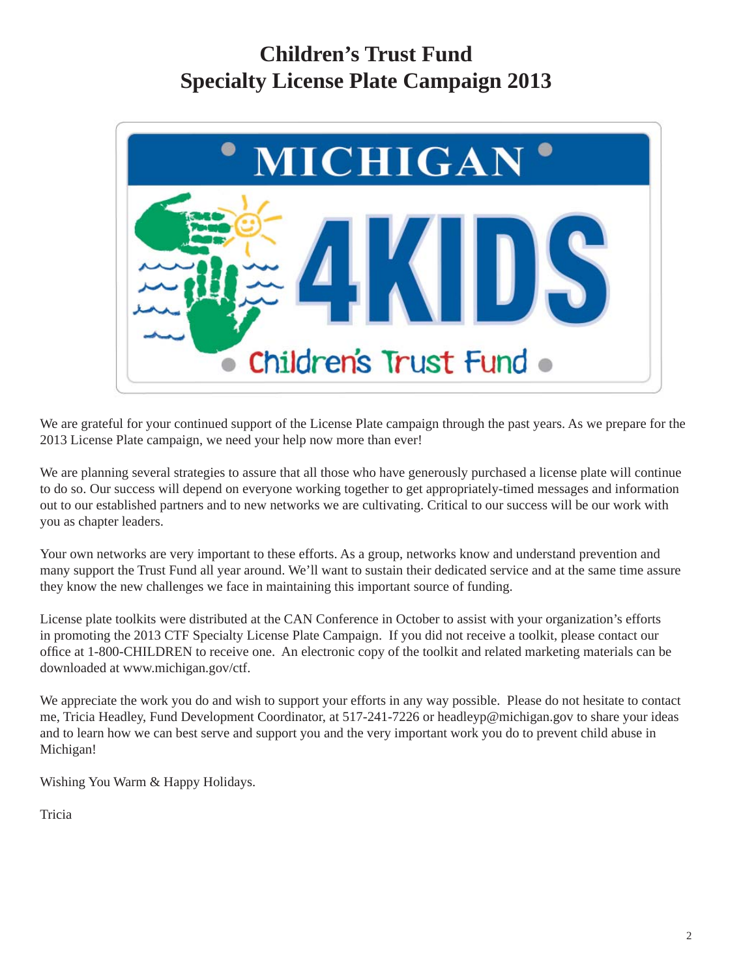### **Children's Trust Fund Specialty License Plate Campaign 2013**



We are grateful for your continued support of the License Plate campaign through the past years. As we prepare for the 2013 License Plate campaign, we need your help now more than ever!

We are planning several strategies to assure that all those who have generously purchased a license plate will continue to do so. Our success will depend on everyone working together to get appropriately-timed messages and information out to our established partners and to new networks we are cultivating. Critical to our success will be our work with you as chapter leaders.

Your own networks are very important to these efforts. As a group, networks know and understand prevention and many support the Trust Fund all year around. We'll want to sustain their dedicated service and at the same time assure they know the new challenges we face in maintaining this important source of funding.

License plate toolkits were distributed at the CAN Conference in October to assist with your organization's efforts in promoting the 2013 CTF Specialty License Plate Campaign. If you did not receive a toolkit, please contact our office at 1-800-CHILDREN to receive one. An electronic copy of the toolkit and related marketing materials can be downloaded at www.michigan.gov/ctf.

We appreciate the work you do and wish to support your efforts in any way possible. Please do not hesitate to contact me, Tricia Headley, Fund Development Coordinator, at 517-241-7226 or headleyp@michigan.gov to share your ideas and to learn how we can best serve and support you and the very important work you do to prevent child abuse in Michigan!

Wishing You Warm & Happy Holidays.

Tricia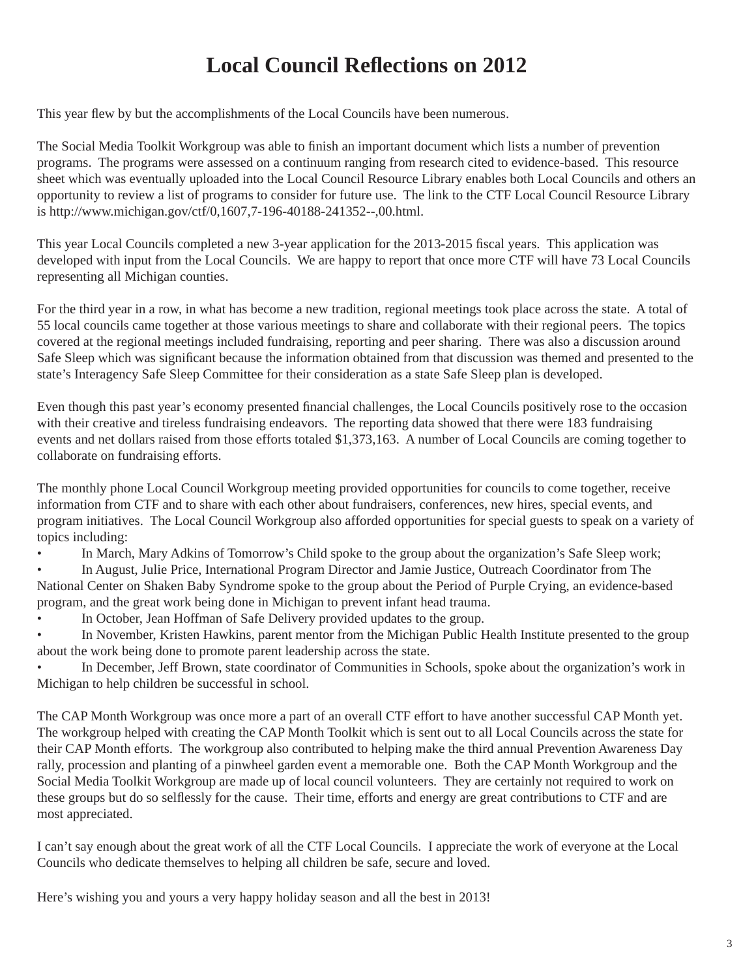## **Local Council Reflections on 2012**

This year flew by but the accomplishments of the Local Councils have been numerous.

The Social Media Toolkit Workgroup was able to finish an important document which lists a number of prevention programs. The programs were assessed on a continuum ranging from research cited to evidence-based. This resource sheet which was eventually uploaded into the Local Council Resource Library enables both Local Councils and others an opportunity to review a list of programs to consider for future use. The link to the CTF Local Council Resource Library is http://www.michigan.gov/ctf/0,1607,7-196-40188-241352--,00.html.

This year Local Councils completed a new 3-year application for the 2013-2015 fiscal years. This application was developed with input from the Local Councils. We are happy to report that once more CTF will have 73 Local Councils representing all Michigan counties.

For the third year in a row, in what has become a new tradition, regional meetings took place across the state. A total of 55 local councils came together at those various meetings to share and collaborate with their regional peers. The topics covered at the regional meetings included fundraising, reporting and peer sharing. There was also a discussion around Safe Sleep which was significant because the information obtained from that discussion was themed and presented to the state's Interagency Safe Sleep Committee for their consideration as a state Safe Sleep plan is developed.

Even though this past year's economy presented financial challenges, the Local Councils positively rose to the occasion with their creative and tireless fundraising endeavors. The reporting data showed that there were 183 fundraising events and net dollars raised from those efforts totaled \$1,373,163. A number of Local Councils are coming together to collaborate on fundraising efforts.

The monthly phone Local Council Workgroup meeting provided opportunities for councils to come together, receive information from CTF and to share with each other about fundraisers, conferences, new hires, special events, and program initiatives. The Local Council Workgroup also afforded opportunities for special guests to speak on a variety of topics including:

In March, Mary Adkins of Tomorrow's Child spoke to the group about the organization's Safe Sleep work;

• In August, Julie Price, International Program Director and Jamie Justice, Outreach Coordinator from The National Center on Shaken Baby Syndrome spoke to the group about the Period of Purple Crying, an evidence-based program, and the great work being done in Michigan to prevent infant head trauma.

• In October, Jean Hoffman of Safe Delivery provided updates to the group.

• In November, Kristen Hawkins, parent mentor from the Michigan Public Health Institute presented to the group about the work being done to promote parent leadership across the state.

• In December, Jeff Brown, state coordinator of Communities in Schools, spoke about the organization's work in Michigan to help children be successful in school.

The CAP Month Workgroup was once more a part of an overall CTF effort to have another successful CAP Month yet. The workgroup helped with creating the CAP Month Toolkit which is sent out to all Local Councils across the state for their CAP Month efforts. The workgroup also contributed to helping make the third annual Prevention Awareness Day rally, procession and planting of a pinwheel garden event a memorable one. Both the CAP Month Workgroup and the Social Media Toolkit Workgroup are made up of local council volunteers. They are certainly not required to work on these groups but do so selflessly for the cause. Their time, efforts and energy are great contributions to CTF and are most appreciated.

I can't say enough about the great work of all the CTF Local Councils. I appreciate the work of everyone at the Local Councils who dedicate themselves to helping all children be safe, secure and loved.

Here's wishing you and yours a very happy holiday season and all the best in 2013!